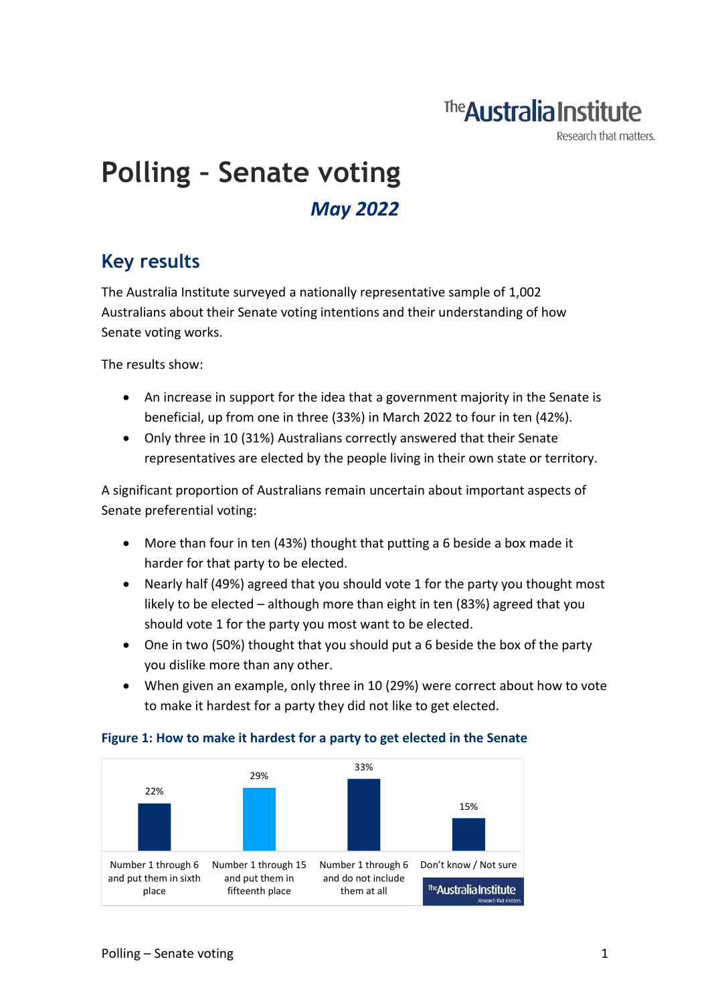## **The Australia Institute**

Research that matters.

# **Polling – Senate voting** *May 2022*

### **Key results**

The Australia Institute surveyed a nationally representative sample of 1,002 Australians about their Senate voting intentions and their understanding of how Senate voting works.

The results show:

- An increase in support for the idea that a government majority in the Senate is beneficial, up from one in three (33%) in March 2022 to four in ten (42%).
- Only three in 10 (31%) Australians correctly answered that their Senate representatives are elected by the people living in their own state or territory.

A significant proportion of Australians remain uncertain about important aspects of Senate preferential voting:

- More than four in ten (43%) thought that putting a 6 beside a box made it harder for that party to be elected.
- Nearly half (49%) agreed that you should vote 1 for the party you thought most likely to be elected – although more than eight in ten (83%) agreed that you should vote 1 for the party you most want to be elected.
- One in two (50%) thought that you should put a 6 beside the box of the party you dislike more than any other.
- When given an example, only three in 10 (29%) were correct about how to vote to make it hardest for a party they did not like to get elected.



#### **Figure 1: How to make it hardest for a party to get elected in the Senate**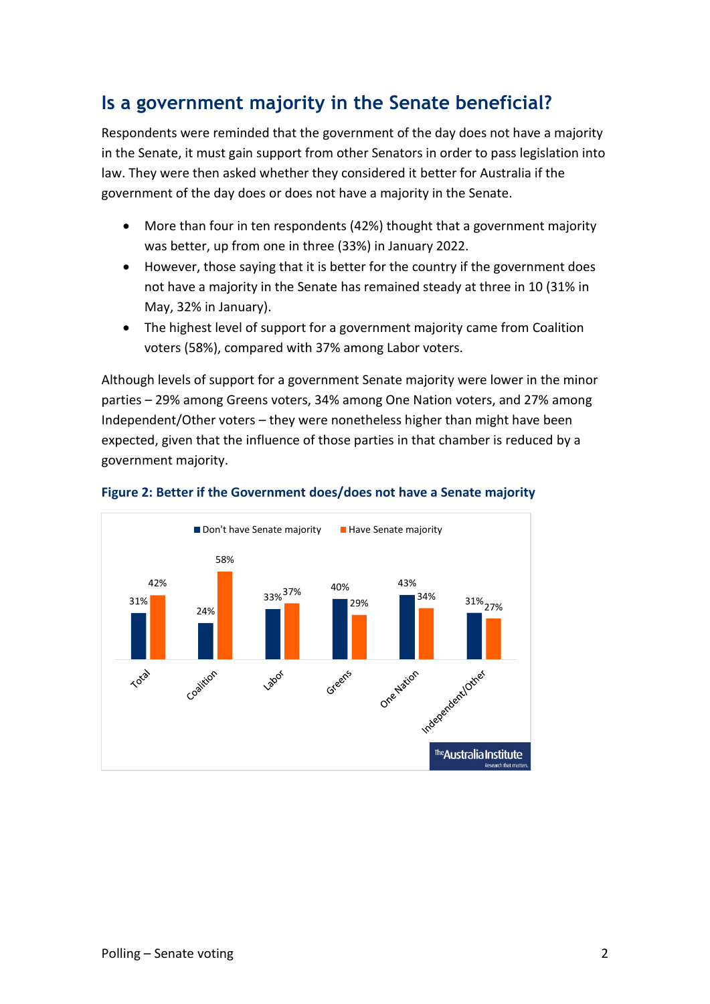### **Is a government majority in the Senate beneficial?**

Respondents were reminded that the government of the day does not have a majority in the Senate, it must gain support from other Senators in order to pass legislation into law. They were then asked whether they considered it better for Australia if the government of the day does or does not have a majority in the Senate.

- More than four in ten respondents (42%) thought that a government majority was better, up from one in three (33%) in January 2022.
- However, those saying that it is better for the country if the government does not have a majority in the Senate has remained steady at three in 10 (31% in May, 32% in January).
- The highest level of support for a government majority came from Coalition voters (58%), compared with 37% among Labor voters.

Although levels of support for a government Senate majority were lower in the minor parties – 29% among Greens voters, 34% among One Nation voters, and 27% among Independent/Other voters – they were nonetheless higher than might have been expected, given that the influence of those parties in that chamber is reduced by a government majority.



#### **Figure 2: Better if the Government does/does not have a Senate majority**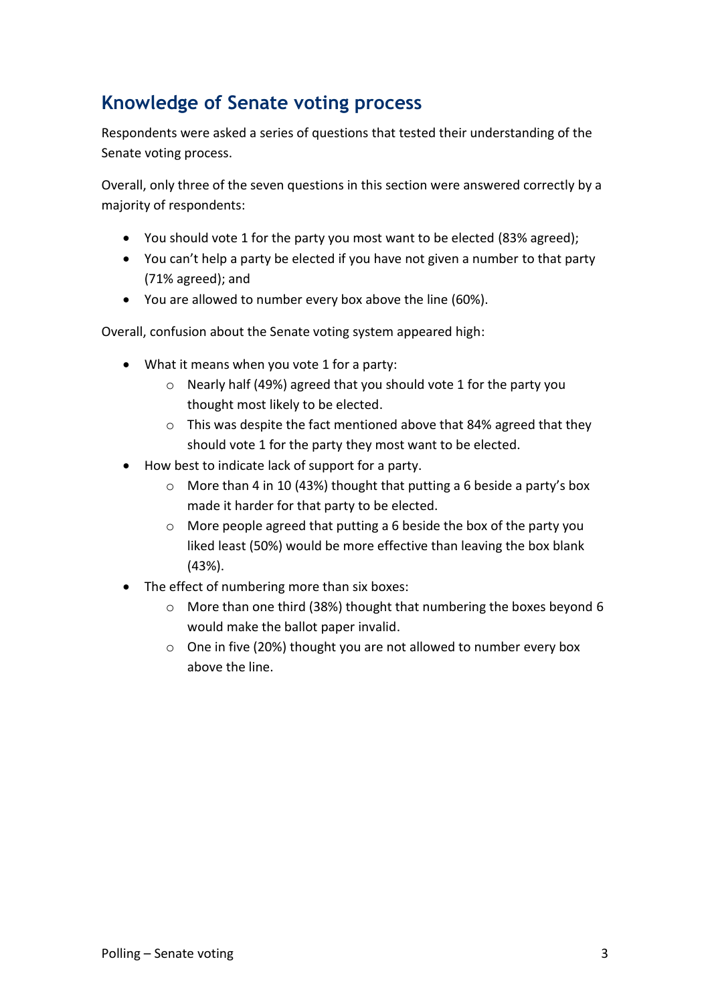### **Knowledge of Senate voting process**

Respondents were asked a series of questions that tested their understanding of the Senate voting process.

Overall, only three of the seven questions in this section were answered correctly by a majority of respondents:

- You should vote 1 for the party you most want to be elected (83% agreed);
- You can't help a party be elected if you have not given a number to that party (71% agreed); and
- You are allowed to number every box above the line (60%).

Overall, confusion about the Senate voting system appeared high:

- What it means when you vote 1 for a party:
	- o Nearly half (49%) agreed that you should vote 1 for the party you thought most likely to be elected.
	- o This was despite the fact mentioned above that 84% agreed that they should vote 1 for the party they most want to be elected.
- How best to indicate lack of support for a party.
	- o More than 4 in 10 (43%) thought that putting a 6 beside a party's box made it harder for that party to be elected.
	- o More people agreed that putting a 6 beside the box of the party you liked least (50%) would be more effective than leaving the box blank (43%).
- The effect of numbering more than six boxes:
	- o More than one third (38%) thought that numbering the boxes beyond 6 would make the ballot paper invalid.
	- o One in five (20%) thought you are not allowed to number every box above the line.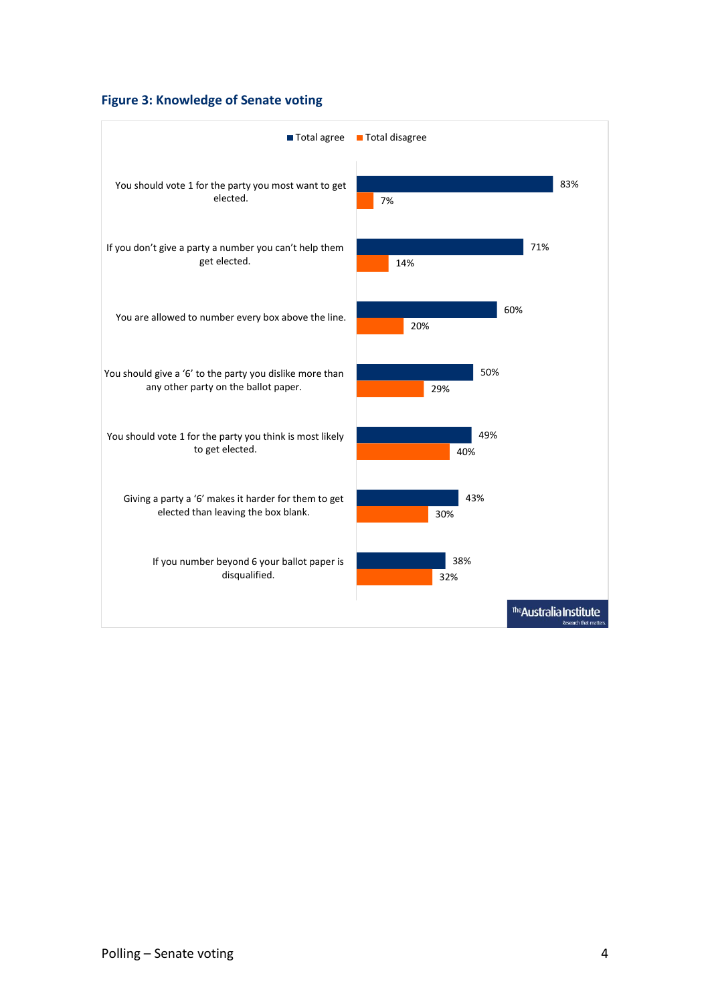#### **Figure 3: Knowledge of Senate voting**

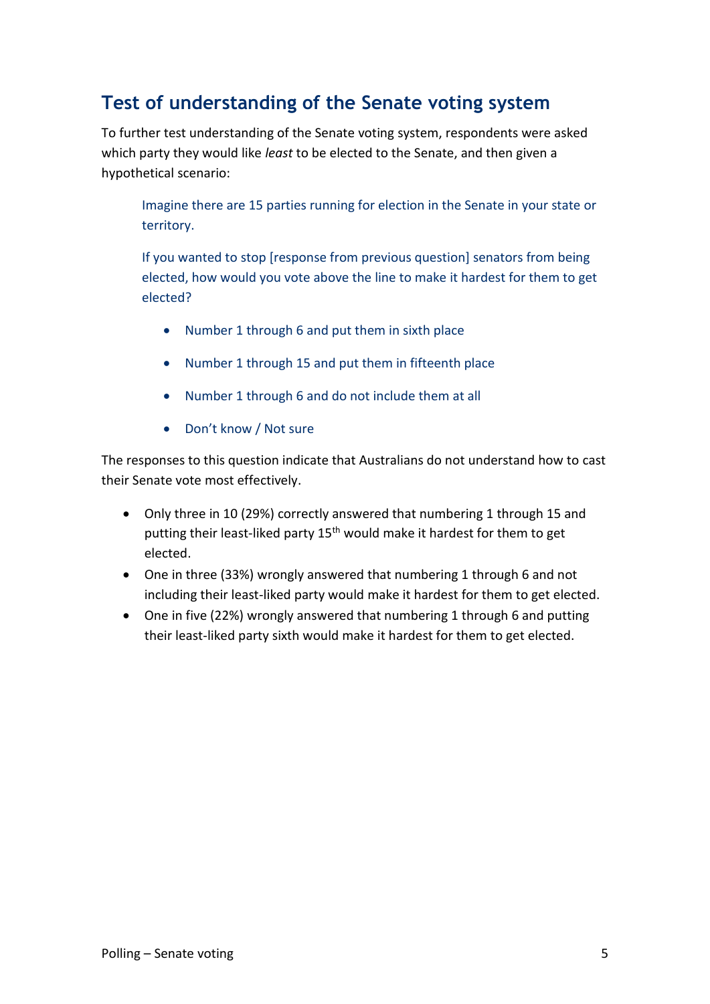### **Test of understanding of the Senate voting system**

To further test understanding of the Senate voting system, respondents were asked which party they would like *least* to be elected to the Senate, and then given a hypothetical scenario:

Imagine there are 15 parties running for election in the Senate in your state or territory.

If you wanted to stop [response from previous question] senators from being elected, how would you vote above the line to make it hardest for them to get elected?

- Number 1 through 6 and put them in sixth place
- Number 1 through 15 and put them in fifteenth place
- Number 1 through 6 and do not include them at all
- Don't know / Not sure

The responses to this question indicate that Australians do not understand how to cast their Senate vote most effectively.

- Only three in 10 (29%) correctly answered that numbering 1 through 15 and putting their least-liked party 15<sup>th</sup> would make it hardest for them to get elected.
- One in three (33%) wrongly answered that numbering 1 through 6 and not including their least-liked party would make it hardest for them to get elected.
- One in five (22%) wrongly answered that numbering 1 through 6 and putting their least-liked party sixth would make it hardest for them to get elected.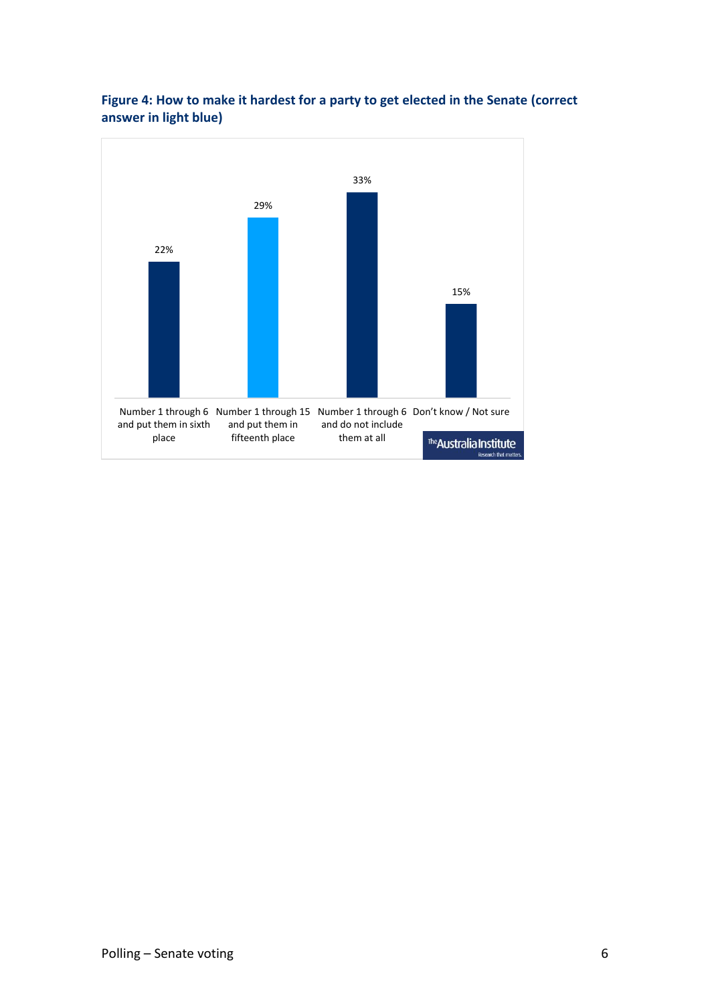

#### **Figure 4: How to make it hardest for a party to get elected in the Senate (correct answer in light blue)**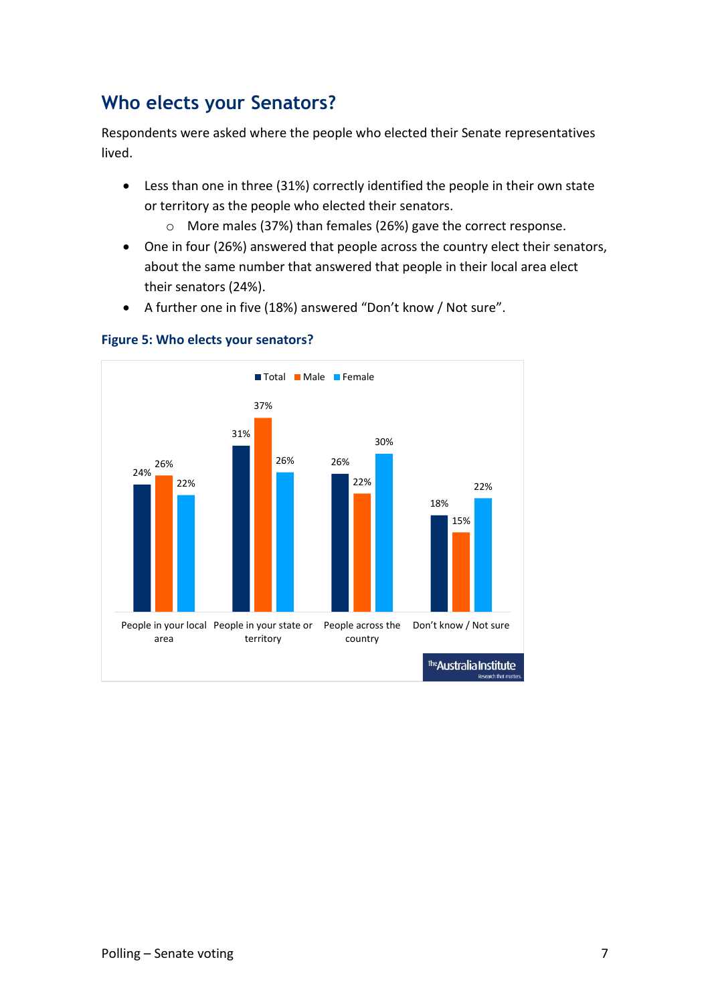### **Who elects your Senators?**

Respondents were asked where the people who elected their Senate representatives lived.

- Less than one in three (31%) correctly identified the people in their own state or territory as the people who elected their senators.
	- o More males (37%) than females (26%) gave the correct response.
- One in four (26%) answered that people across the country elect their senators, about the same number that answered that people in their local area elect their senators (24%).
- A further one in five (18%) answered "Don't know / Not sure".



**Figure 5: Who elects your senators?**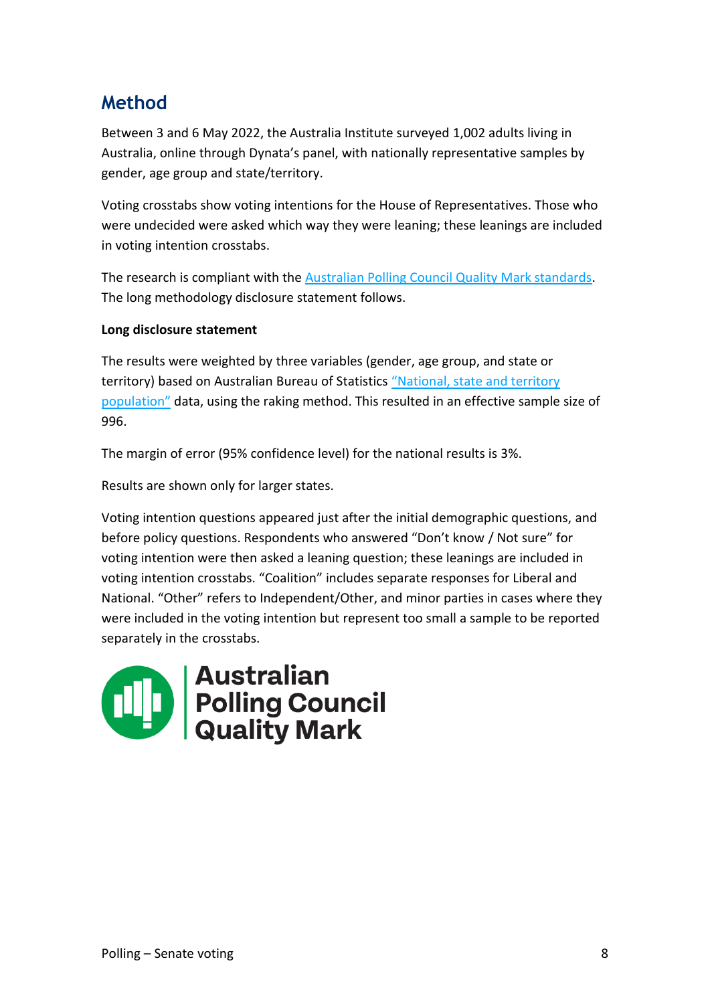### **Method**

Between 3 and 6 May 2022, the Australia Institute surveyed 1,002 adults living in Australia, online through Dynata's panel, with nationally representative samples by gender, age group and state/territory.

Voting crosstabs show voting intentions for the House of Representatives. Those who were undecided were asked which way they were leaning; these leanings are included in voting intention crosstabs.

The research is compliant with the [Australian Polling Council Quality Mark standards.](https://www.australianpollingcouncil.com/code-of-conduct) The long methodology disclosure statement follows.

#### **Long disclosure statement**

The results were weighted by three variables (gender, age group, and state or territory) based on Australian Bureau of Statistics ["National, state and territory](https://www.abs.gov.au/statistics/people/population/national-state-and-territory-population/latest-release)  [population"](https://www.abs.gov.au/statistics/people/population/national-state-and-territory-population/latest-release) data, using the raking method. This resulted in an effective sample size of 996.

The margin of error (95% confidence level) for the national results is 3%.

Results are shown only for larger states.

Voting intention questions appeared just after the initial demographic questions, and before policy questions. Respondents who answered "Don't know / Not sure" for voting intention were then asked a leaning question; these leanings are included in voting intention crosstabs. "Coalition" includes separate responses for Liberal and National. "Other" refers to Independent/Other, and minor parties in cases where they were included in the voting intention but represent too small a sample to be reported separately in the crosstabs.

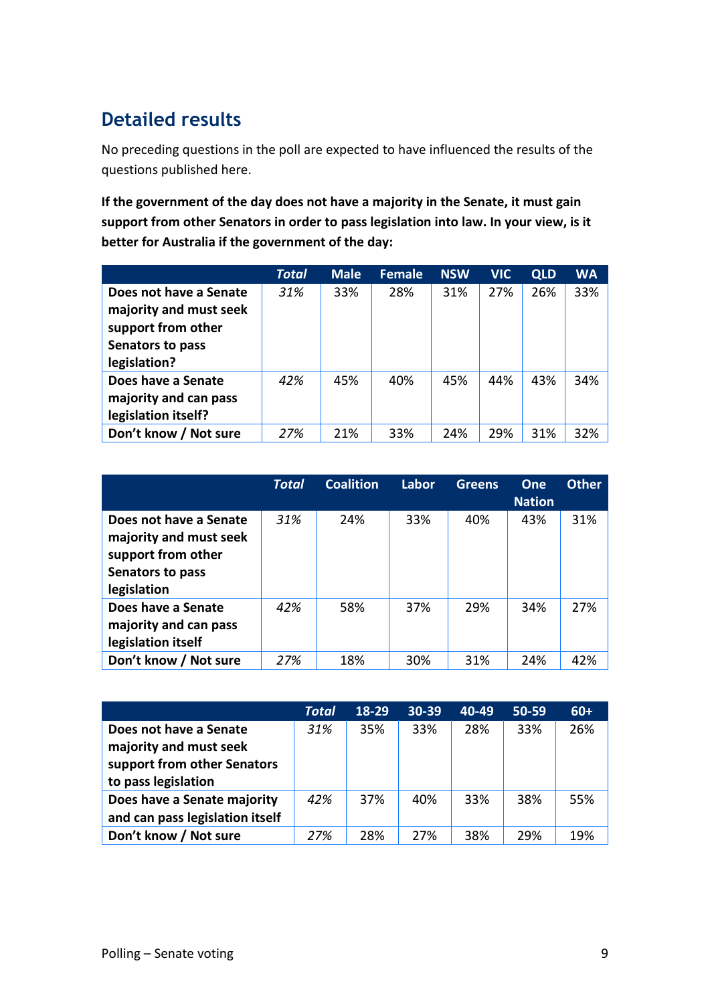### **Detailed results**

No preceding questions in the poll are expected to have influenced the results of the questions published here.

**If the government of the day does not have a majority in the Senate, it must gain support from other Senators in order to pass legislation into law. In your view, is it better for Australia if the government of the day:**

|                        | <b>Total</b> | <b>Male</b> | <b>Female</b> | <b>NSW</b> | <b>VIC</b> | <b>QLD</b> | <b>WA</b> |
|------------------------|--------------|-------------|---------------|------------|------------|------------|-----------|
| Does not have a Senate | 31%          | 33%         | 28%           | 31%        | 27%        | 26%        | 33%       |
| majority and must seek |              |             |               |            |            |            |           |
| support from other     |              |             |               |            |            |            |           |
| Senators to pass       |              |             |               |            |            |            |           |
| legislation?           |              |             |               |            |            |            |           |
| Does have a Senate     | 42%          | 45%         | 40%           | 45%        | 44%        | 43%        | 34%       |
| majority and can pass  |              |             |               |            |            |            |           |
| legislation itself?    |              |             |               |            |            |            |           |
| Don't know / Not sure  | 27%          | 21%         | 33%           | 24%        | 29%        | 31%        | 32%       |

|                                                                                                           | <b>Total</b> | <b>Coalition</b> | Labor | Greens | One<br><b>Nation</b> | <b>Other</b> |
|-----------------------------------------------------------------------------------------------------------|--------------|------------------|-------|--------|----------------------|--------------|
| Does not have a Senate<br>majority and must seek<br>support from other<br>Senators to pass<br>legislation | 31%          | 24%              | 33%   | 40%    | 43%                  | 31%          |
| Does have a Senate<br>majority and can pass<br>legislation itself                                         | 42%          | 58%              | 37%   | 29%    | 34%                  | 27%          |
| Don't know / Not sure                                                                                     | 27%          | 18%              | 30%   | 31%    | 24%                  | 42%          |

|                                 | Total | 18-29 | 30-39 | 40-49 | 50-59 | $60+$ |
|---------------------------------|-------|-------|-------|-------|-------|-------|
| Does not have a Senate          | 31%   | 35%   | 33%   | 28%   | 33%   | 26%   |
| majority and must seek          |       |       |       |       |       |       |
| support from other Senators     |       |       |       |       |       |       |
| to pass legislation             |       |       |       |       |       |       |
| Does have a Senate majority     | 42%   | 37%   | 40%   | 33%   | 38%   | 55%   |
| and can pass legislation itself |       |       |       |       |       |       |
| Don't know / Not sure           | 27%   | 28%   | 27%   | 38%   | 29%   | 19%   |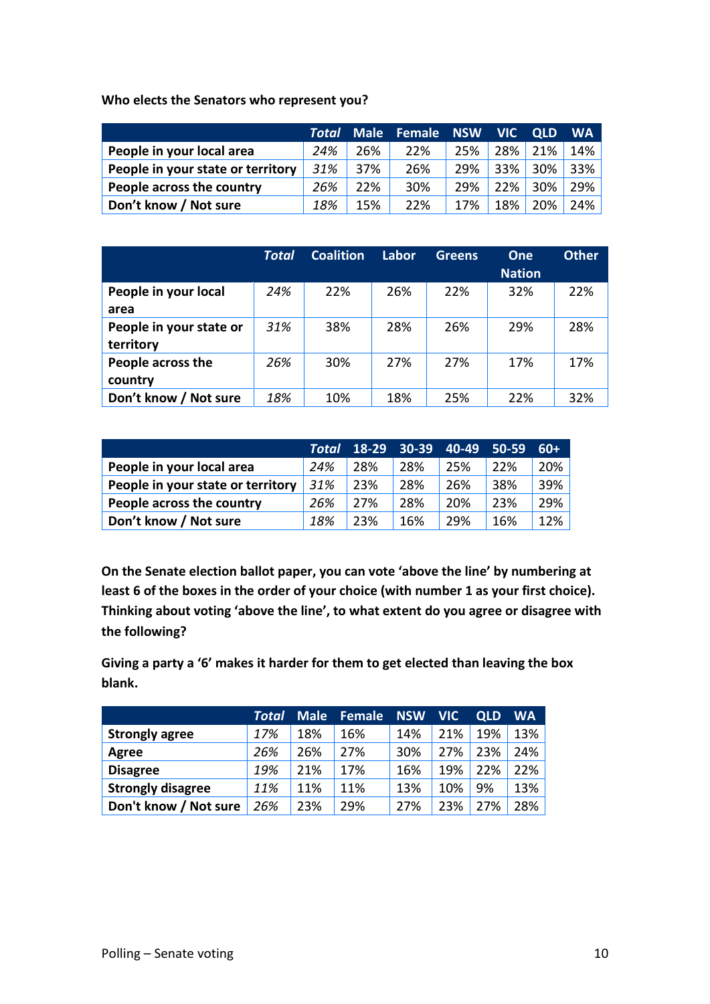**Who elects the Senators who represent you?**

|                                   |     |     | <b>Total Male Female NSW</b> |     | <b>NIC</b> | <b>OLD</b> | <b>WA</b> |
|-----------------------------------|-----|-----|------------------------------|-----|------------|------------|-----------|
| People in your local area         | 24% | 26% | 22%                          | 25% | 28%        | 21%        | 14%       |
| People in your state or territory | 31% | 37% | 26%                          | 29% |            | 33% 30%    | 33%       |
| People across the country         | 26% | 22% | 30%                          | 29% | 22%        | 30%        | 29%       |
| Don't know / Not sure             | 18% | 15% | 22%                          | 17% | 18%        | 20%        | 24%       |

|                         | Total | <b>Coalition</b> | Labor | <b>Greens</b> | <b>One</b>    | <b>Other</b> |
|-------------------------|-------|------------------|-------|---------------|---------------|--------------|
|                         |       |                  |       |               | <b>Nation</b> |              |
| People in your local    | 24%   | 22%              | 26%   | 22%           | 32%           | 22%          |
| area                    |       |                  |       |               |               |              |
| People in your state or | 31%   | 38%              | 28%   | 26%           | 29%           | 28%          |
| territory               |       |                  |       |               |               |              |
| People across the       | 26%   | 30%              | 27%   | 27%           | 17%           | 17%          |
| country                 |       |                  |       |               |               |              |
| Don't know / Not sure   | 18%   | 10%              | 18%   | 25%           | 22%           | 32%          |

|                                   |     | Total 18-29 30-39 |     | 40-49 | 50-59 | $60+$ |
|-----------------------------------|-----|-------------------|-----|-------|-------|-------|
| People in your local area         | 24% | 28%               | 28% | 25%   | 22%   | 20%   |
| People in your state or territory | 31% | 23%               | 28% | 26%   | 38%   | 39%   |
| People across the country         | 26% | 27%               | 28% | 20%   | 23%   | 29%   |
| Don't know / Not sure             | 18% | 23%               | 16% | 29%   | 16%   | 12%   |

**On the Senate election ballot paper, you can vote 'above the line' by numbering at least 6 of the boxes in the order of your choice (with number 1 as your first choice). Thinking about voting 'above the line', to what extent do you agree or disagree with the following?**

**Giving a party a '6' makes it harder for them to get elected than leaving the box blank.**

|                          | Total | <b>Male</b> | <b>Female</b> | <b>NSW</b> | <b>VIC</b> | <b>QLD</b> | WA  |
|--------------------------|-------|-------------|---------------|------------|------------|------------|-----|
| <b>Strongly agree</b>    | 17%   | 18%         | 16%           | 14%        | 21%        | 19%        | 13% |
| Agree                    | 26%   | 26%         | 27%           | 30%        | 27%        | 23%        | 24% |
| <b>Disagree</b>          | 19%   | 21%         | 17%           | 16%        | 19%        | 22%        | 22% |
| <b>Strongly disagree</b> | 11%   | 11%         | 11%           | 13%        | 10%        | 9%         | 13% |
| Don't know / Not sure    | 26%   | 23%         | 29%           | 27%        | 23%        | 27%        | 28% |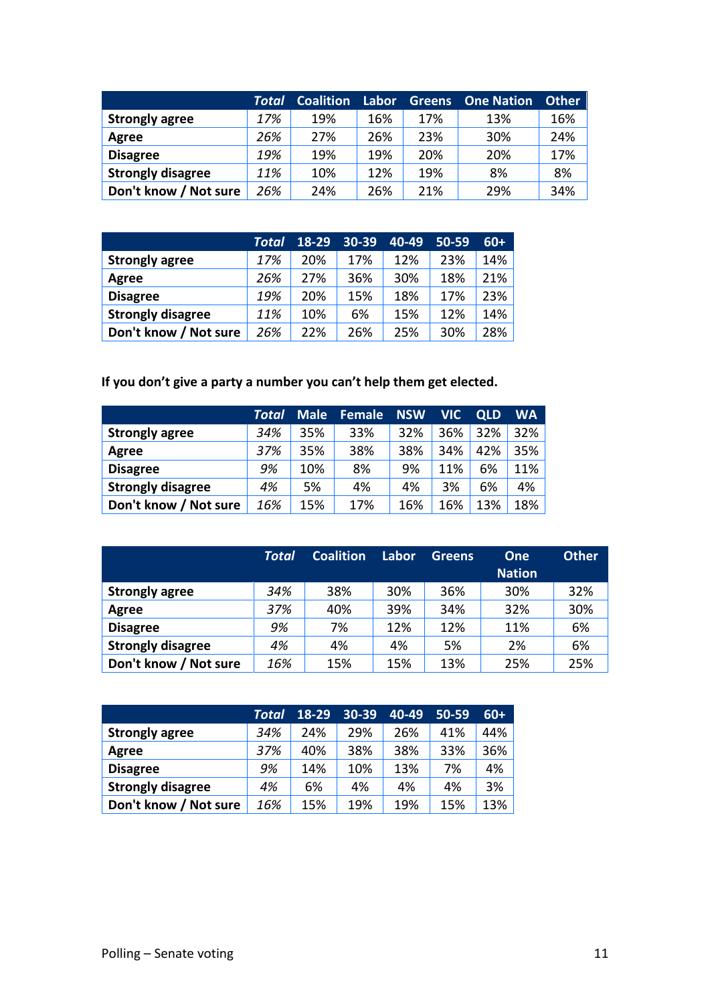|                          | Total | <b>Coalition</b> | Labor | <b>Greens</b> | <b>One Nation</b> | <b>Other</b> |
|--------------------------|-------|------------------|-------|---------------|-------------------|--------------|
| <b>Strongly agree</b>    | 17%   | 19%              | 16%   | 17%           | 13%               | 16%          |
| Agree                    | 26%   | 27%              | 26%   | 23%           | 30%               | 24%          |
| <b>Disagree</b>          | 19%   | 19%              | 19%   | 20%           | 20%               | 17%          |
| <b>Strongly disagree</b> | 11%   | 10%              | 12%   | 19%           | 8%                | 8%           |
| Don't know / Not sure    | 26%   | 24%              | 26%   | 21%           | 29%               | 34%          |

|                          | Total | $18-29$ | 30-39 | 40-49 | $50 - 59$ | $60+$  |
|--------------------------|-------|---------|-------|-------|-----------|--------|
| <b>Strongly agree</b>    | 17%   | 20%     | 17%   | 12%   | 23%       | 14%    |
| Agree                    | 26%   | 27%     | 36%   | 30%   | 18%       | $21\%$ |
| <b>Disagree</b>          | 19%   | 20%     | 15%   | 18%   | 17%       | 23%    |
| <b>Strongly disagree</b> | 11%   | 10%     | 6%    | 15%   | 12%       | $14\%$ |
| Don't know / Not sure    | 26%   | 22%     | 26%   | 25%   | 30%       | 28%    |

**If you don't give a party a number you can't help them get elected.** 

|                          | Total | <b>Male</b> | Female | <b>NSW</b> | <b>VIC</b> | <b>QLD</b> | WA  |
|--------------------------|-------|-------------|--------|------------|------------|------------|-----|
| <b>Strongly agree</b>    | 34%   | 35%         | 33%    | 32%        | 36%        | 32%        | 32% |
| Agree                    | 37%   | 35%         | 38%    | 38%        | 34%        | 42%        | 35% |
| <b>Disagree</b>          | 9%    | 10%         | 8%     | 9%         | 11%        | 6%         | 11% |
| <b>Strongly disagree</b> | 4%    | 5%          | 4%     | 4%         | 3%         | 6%         | 4%  |
| Don't know / Not sure    | 16%   | 15%         | 17%    | 16%        | 16%        | 13%        | 18% |

|                          | <b>Total</b> | <b>Coalition</b> | Labor | <b>Greens</b> | <b>One</b><br><b>Nation</b> | <b>Other</b> |
|--------------------------|--------------|------------------|-------|---------------|-----------------------------|--------------|
| <b>Strongly agree</b>    | 34%          | 38%              | 30%   | 36%           | 30%                         | 32%          |
| Agree                    | 37%          | 40%              | 39%   | 34%           | 32%                         | 30%          |
| <b>Disagree</b>          | 9%           | 7%               | 12%   | 12%           | 11%                         | 6%           |
| <b>Strongly disagree</b> | 4%           | 4%               | 4%    | 5%            | 2%                          | 6%           |
| Don't know / Not sure    | 16%          | 15%              | 15%   | 13%           | 25%                         | 25%          |

|                          | Total | $18-29$ | 30-39 | 40-49 | $50 - 59$ | $60+$ |
|--------------------------|-------|---------|-------|-------|-----------|-------|
| <b>Strongly agree</b>    | 34%   | 24%     | 29%   | 26%   | 41%       | 44%   |
| Agree                    | 37%   | 40%     | 38%   | 38%   | 33%       | 36%   |
| <b>Disagree</b>          | 9%    | 14%     | 10%   | 13%   | 7%        | 4%    |
| <b>Strongly disagree</b> | 4%    | 6%      | 4%    | 4%    | 4%        | 3%    |
| Don't know / Not sure    | 16%   | 15%     | 19%   | 19%   | 15%       | 13%   |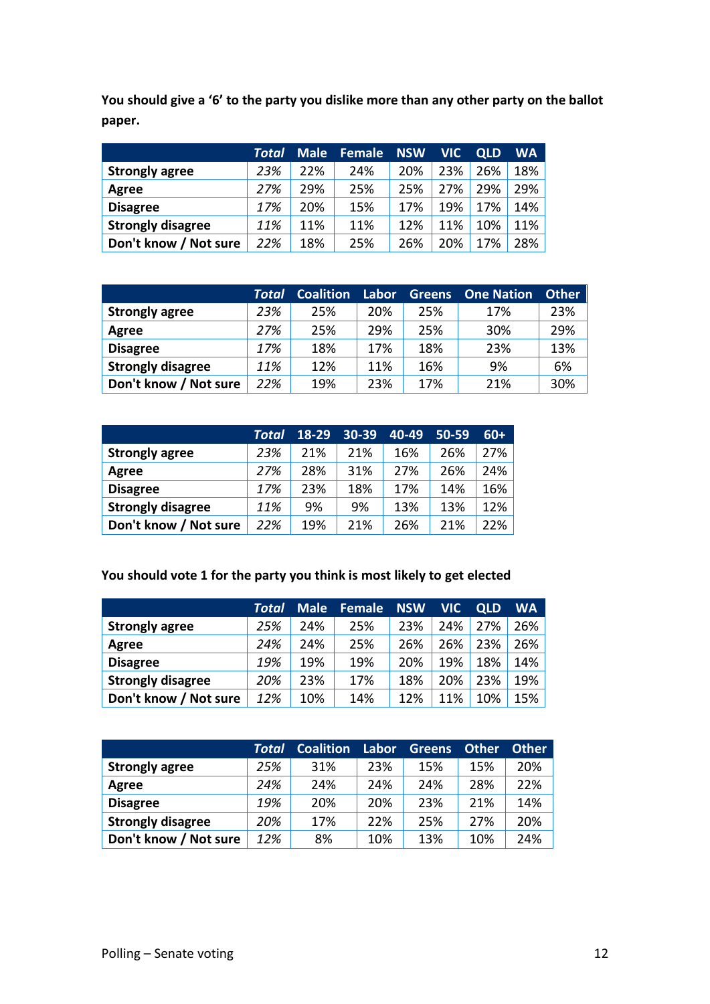**You should give a '6' to the party you dislike more than any other party on the ballot paper.**

|                          | Total | <b>Male</b> | Female | <b>NSW</b> | <b>VIC</b> | <b>QLD</b> | WA  |
|--------------------------|-------|-------------|--------|------------|------------|------------|-----|
| <b>Strongly agree</b>    | 23%   | 22%         | 24%    | 20%        | 23%        | 26%        | 18% |
| Agree                    | 27%   | 29%         | 25%    | 25%        | 27%        | 29%        | 29% |
| <b>Disagree</b>          | 17%   | 20%         | 15%    | 17%        | 19%        | 17%        | 14% |
| <b>Strongly disagree</b> | 11%   | 11%         | 11%    | 12%        | 11%        | 10%        | 11% |
| Don't know / Not sure    | 22%   | 18%         | 25%    | 26%        | 20%        | 17%        | 28% |

|                          | Total | <b>Coalition</b> | Labor | <b>Greens</b> | <b>One Nation</b> | <b>Other</b> |
|--------------------------|-------|------------------|-------|---------------|-------------------|--------------|
| <b>Strongly agree</b>    | 23%   | 25%              | 20%   | 25%           | 17%               | 23%          |
| Agree                    | 27%   | 25%              | 29%   | 25%           | 30%               | 29%          |
| <b>Disagree</b>          | 17%   | 18%              | 17%   | 18%           | 23%               | 13%          |
| <b>Strongly disagree</b> | 11%   | 12%              | 11%   | 16%           | 9%                | 6%           |
| Don't know / Not sure    | 22%   | 19%              | 23%   | 17%           | 21%               | 30%          |

|                          | Total | 18-29 | 30-39 | 40-49 | $50 - 59$ | $60+$  |
|--------------------------|-------|-------|-------|-------|-----------|--------|
| <b>Strongly agree</b>    | 23%   | 21%   | 21%   | 16%   | 26%       | 27%    |
| Agree                    | 27%   | 28%   | 31%   | 27%   | 26%       | 24%    |
| <b>Disagree</b>          | 17%   | 23%   | 18%   | 17%   | 14%       | $16\%$ |
| <b>Strongly disagree</b> | 11%   | 9%    | 9%    | 13%   | 13%       | $12\%$ |
| Don't know / Not sure    | 22%   | 19%   | 21%   | 26%   | 21%       | 22%    |

#### **You should vote 1 for the party you think is most likely to get elected**

|                          | Total | <b>Male</b> | <b>Female</b> | <b>NSW</b> | <b>VIC</b> | <b>QLD</b> | <b>WA</b> |
|--------------------------|-------|-------------|---------------|------------|------------|------------|-----------|
| <b>Strongly agree</b>    | 25%   | 24%         | 25%           | 23%        | 24%        | 27%        | 26%       |
| Agree                    | 24%   | 24%         | 25%           | 26%        | 26%        | 23%        | 26%       |
| <b>Disagree</b>          | 19%   | 19%         | 19%           | 20%        | 19%        | 18%        | 14%       |
| <b>Strongly disagree</b> | 20%   | 23%         | 17%           | 18%        | 20%        | 23%        | 19%       |
| Don't know / Not sure    | 12%   | 10%         | 14%           | 12%        | 11%        | 10%        | 15%       |

|                          | Total | <b>Coalition</b> | Labor | <b>Greens</b> | <b>Other</b> | <b>Other</b> |
|--------------------------|-------|------------------|-------|---------------|--------------|--------------|
| <b>Strongly agree</b>    | 25%   | 31%              | 23%   | 15%           | 15%          | 20%          |
| Agree                    | 24%   | 24%              | 24%   | 24%           | 28%          | 22%          |
| <b>Disagree</b>          | 19%   | 20%              | 20%   | 23%           | 21%          | 14%          |
| <b>Strongly disagree</b> | 20%   | 17%              | 22%   | 25%           | 27%          | 20%          |
| Don't know / Not sure    | 12%   | 8%               | 10%   | 13%           | 10%          | 24%          |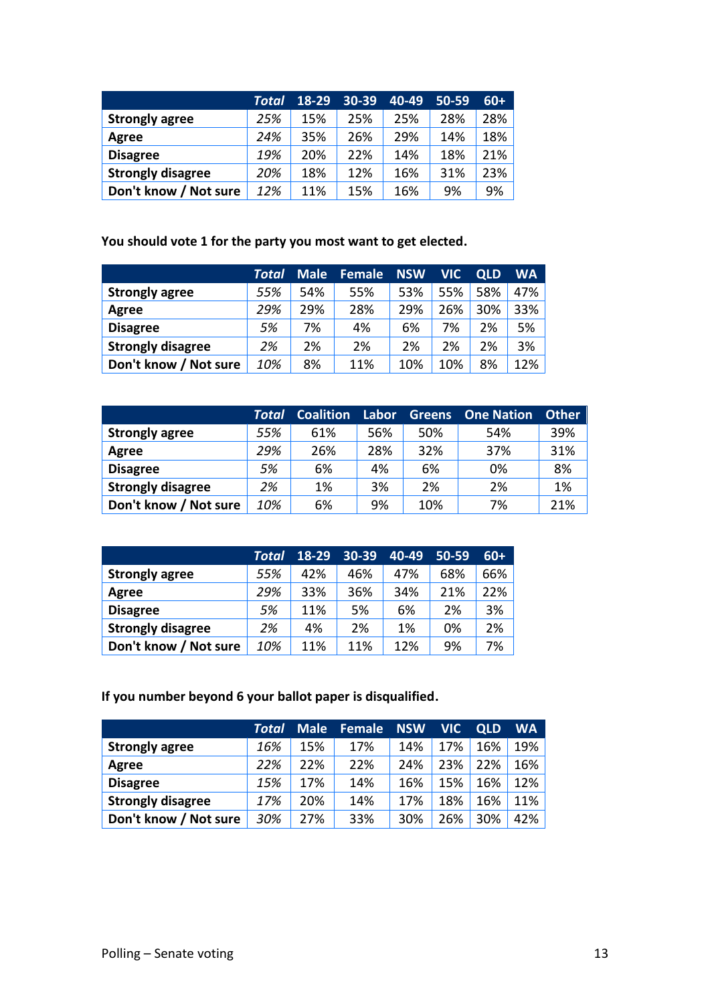|                          | Total | $18 - 29$ | 30-39 | 40-49 | $50 - 59$ | $60+$ |
|--------------------------|-------|-----------|-------|-------|-----------|-------|
| <b>Strongly agree</b>    | 25%   | 15%       | 25%   | 25%   | 28%       | 28%   |
| Agree                    | 24%   | 35%       | 26%   | 29%   | 14%       | 18%   |
| <b>Disagree</b>          | 19%   | 20%       | 22%   | 14%   | 18%       | 21%   |
| <b>Strongly disagree</b> | 20%   | 18%       | 12%   | 16%   | 31%       | 23%   |
| Don't know / Not sure    | 12%   | 11%       | 15%   | 16%   | 9%        | 9%    |

#### **You should vote 1 for the party you most want to get elected.**

|                          | Total | <b>Male</b> | <b>Female</b> | <b>NSW</b> | <b>VIC</b> | <b>QLD</b> | WA  |
|--------------------------|-------|-------------|---------------|------------|------------|------------|-----|
| <b>Strongly agree</b>    | 55%   | 54%         | 55%           | 53%        | 55%        | 58%        | 47% |
| Agree                    | 29%   | 29%         | 28%           | 29%        | 26%        | 30%        | 33% |
| <b>Disagree</b>          | 5%    | 7%          | 4%            | 6%         | 7%         | 2%         | 5%  |
| <b>Strongly disagree</b> | 2%    | 2%          | 2%            | 2%         | 2%         | 2%         | 3%  |
| Don't know / Not sure    | 10%   | 8%          | 11%           | 10%        | 10%        | 8%         | 12% |

|                          | Total | <b>Coalition</b> | Labor | <b>Greens</b> | <b>One Nation</b> | <b>Other</b> |
|--------------------------|-------|------------------|-------|---------------|-------------------|--------------|
| <b>Strongly agree</b>    | 55%   | 61%              | 56%   | 50%           | 54%               | 39%          |
| Agree                    | 29%   | 26%              | 28%   | 32%           | 37%               | 31%          |
| <b>Disagree</b>          | 5%    | 6%               | 4%    | 6%            | 0%                | 8%           |
| <b>Strongly disagree</b> | 2%    | 1%               | 3%    | 2%            | 2%                | 1%           |
| Don't know / Not sure    | 10%   | 6%               | 9%    | 10%           | 7%                | 21%          |

|                          | Total | 18-29 | 30-39 | 40-49 | $50 - 59$ | $60+$ |
|--------------------------|-------|-------|-------|-------|-----------|-------|
| <b>Strongly agree</b>    | 55%   | 42%   | 46%   | 47%   | 68%       | 66%   |
| Agree                    | 29%   | 33%   | 36%   | 34%   | 21%       | 22%   |
| <b>Disagree</b>          | 5%    | 11%   | 5%    | 6%    | 2%        | 3%    |
| <b>Strongly disagree</b> | 2%    | 4%    | 2%    | 1%    | 0%        | 2%    |
| Don't know / Not sure    | 10%   | 11%   | 11%   | 12%   | 9%        | 7%    |

**If you number beyond 6 your ballot paper is disqualified.**

|                          | Total | <b>Male</b> | <b>Female</b> | <b>NSW</b> | <b>VIC</b> | <b>QLD</b> | <b>WA</b> |
|--------------------------|-------|-------------|---------------|------------|------------|------------|-----------|
| <b>Strongly agree</b>    | 16%   | 15%         | 17%           | 14%        | 17%        | 16%        | 19%       |
| Agree                    | 22%   | 22%         | 22%           | 24%        | 23%        | 22%        | 16%       |
| <b>Disagree</b>          | 15%   | 17%         | 14%           | 16%        | 15%        | 16%        | 12%       |
| <b>Strongly disagree</b> | 17%   | 20%         | 14%           | 17%        | 18%        | 16%        | 11%       |
| Don't know / Not sure    | 30%   | 27%         | 33%           | 30%        | 26%        | 30%        | 42%       |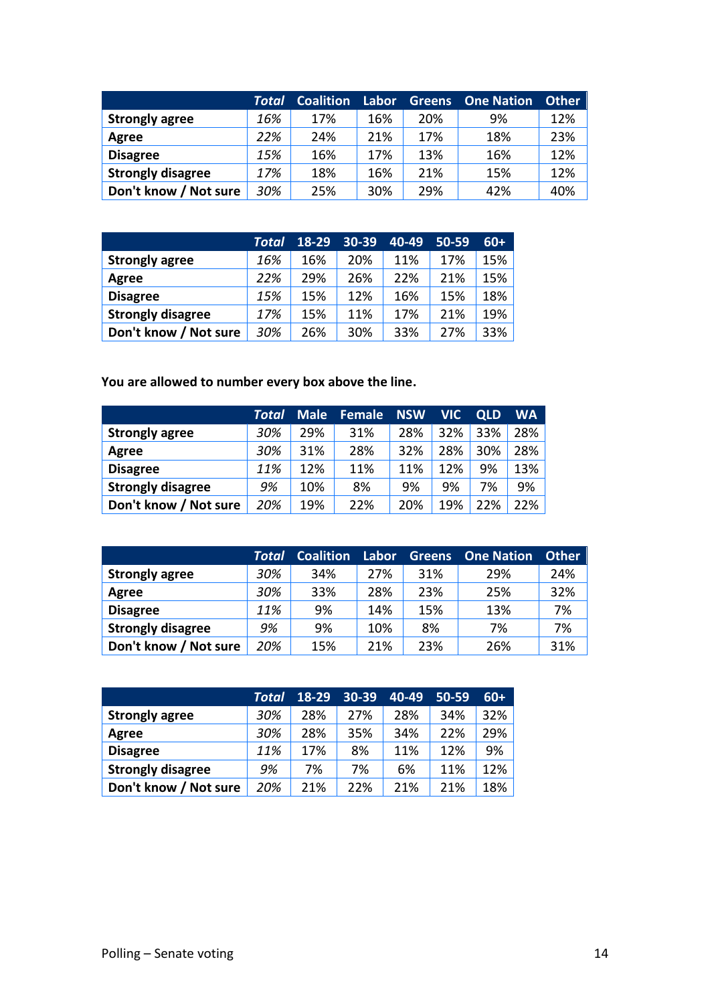|                          | Total | <b>Coalition</b> | Labor | <b>Greens</b> | <b>One Nation</b> | <b>Other</b> |
|--------------------------|-------|------------------|-------|---------------|-------------------|--------------|
| <b>Strongly agree</b>    | 16%   | 17%              | 16%   | 20%           | 9%                | 12%          |
| Agree                    | 22%   | 24%              | 21%   | 17%           | 18%               | 23%          |
| <b>Disagree</b>          | 15%   | 16%              | 17%   | 13%           | 16%               | 12%          |
| <b>Strongly disagree</b> | 17%   | 18%              | 16%   | 21%           | 15%               | 12%          |
| Don't know / Not sure    | 30%   | 25%              | 30%   | 29%           | 42%               | 40%          |

|                          | Total | 18-29 | 30-39 | 40-49 | $50 - 59$ | $60+$ |
|--------------------------|-------|-------|-------|-------|-----------|-------|
| <b>Strongly agree</b>    | 16%   | 16%   | 20%   | 11%   | 17%       | 15%   |
| Agree                    | 22%   | 29%   | 26%   | 22%   | 21%       | 15%   |
| <b>Disagree</b>          | 15%   | 15%   | 12%   | 16%   | 15%       | 18%   |
| <b>Strongly disagree</b> | 17%   | 15%   | 11%   | 17%   | 21%       | 19%   |
| Don't know / Not sure    | 30%   | 26%   | 30%   | 33%   | 27%       | 33%   |

**You are allowed to number every box above the line.**

|                          | Total | <b>Male</b> | <b>Female</b> | <b>NSW</b> | <b>VIC</b> | <b>QLD</b> | WA  |
|--------------------------|-------|-------------|---------------|------------|------------|------------|-----|
| <b>Strongly agree</b>    | 30%   | 29%         | 31%           | 28%        | 32%        | 33%        | 28% |
| Agree                    | 30%   | 31%         | 28%           | 32%        | 28%        | 30%        | 28% |
| <b>Disagree</b>          | 11%   | 12%         | 11%           | 11%        | 12%        | 9%         | 13% |
| <b>Strongly disagree</b> | 9%    | 10%         | 8%            | 9%         | 9%         | 7%         | 9%  |
| Don't know / Not sure    | 20%   | 19%         | 22%           | 20%        | 19%        | 22%        | 22% |

|                          | Total | <b>Coalition</b> | Labor | <b>Greens</b> | <b>One Nation</b> | <b>Other</b> |
|--------------------------|-------|------------------|-------|---------------|-------------------|--------------|
| <b>Strongly agree</b>    | 30%   | 34%              | 27%   | 31%           | 29%               | 24%          |
| Agree                    | 30%   | 33%              | 28%   | 23%           | 25%               | 32%          |
| <b>Disagree</b>          | 11%   | 9%               | 14%   | 15%           | 13%               | 7%           |
| <b>Strongly disagree</b> | 9%    | 9%               | 10%   | 8%            | 7%                | 7%           |
| Don't know / Not sure    | 20%   | 15%              | 21%   | 23%           | 26%               | 31%          |

|                          | Total | 18-29 | 30-39 | 40-49 | 50-59 | $60+$  |
|--------------------------|-------|-------|-------|-------|-------|--------|
| <b>Strongly agree</b>    | 30%   | 28%   | 27%   | 28%   | 34%   | $32\%$ |
| Agree                    | 30%   | 28%   | 35%   | 34%   | 22%   | 29%    |
| <b>Disagree</b>          | 11%   | 17%   | 8%    | 11%   | 12%   | 9%     |
| <b>Strongly disagree</b> | 9%    | 7%    | 7%    | 6%    | 11%   | $12\%$ |
| Don't know / Not sure    | 20%   | 21%   | 22%   | 21%   | 21%   | 18%    |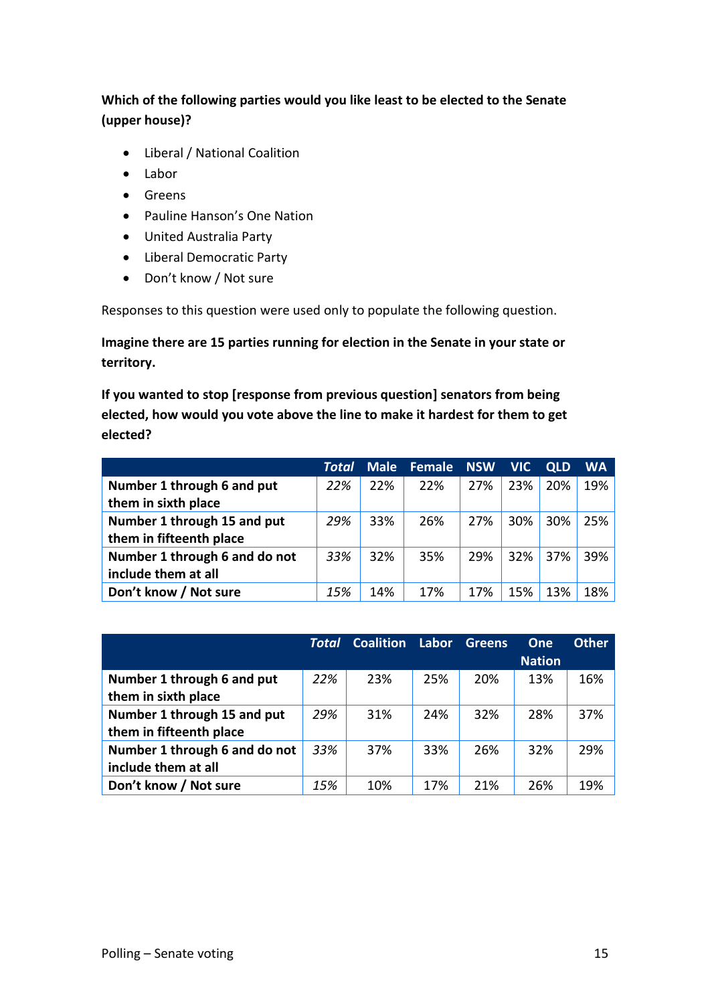#### **Which of the following parties would you like least to be elected to the Senate (upper house)?**

- Liberal / National Coalition
- Labor
- Greens
- Pauline Hanson's One Nation
- United Australia Party
- Liberal Democratic Party
- Don't know / Not sure

Responses to this question were used only to populate the following question.

**Imagine there are 15 parties running for election in the Senate in your state or territory.**

**If you wanted to stop [response from previous question] senators from being elected, how would you vote above the line to make it hardest for them to get elected?**

|                               | Total | <b>Male</b> | Female NSW |     | <b>VIC</b> | <b>QLD</b> | <b>WA</b> |
|-------------------------------|-------|-------------|------------|-----|------------|------------|-----------|
| Number 1 through 6 and put    | 22%   | 22%         | 22%        | 27% | 23%        | 20%        | 19%       |
| them in sixth place           |       |             |            |     |            |            |           |
| Number 1 through 15 and put   | 29%   | 33%         | 26%        | 27% | 30%        | 30%        | 25%       |
| them in fifteenth place       |       |             |            |     |            |            |           |
| Number 1 through 6 and do not | 33%   | 32%         | 35%        | 29% | 32%        | 37%        | 39%       |
| include them at all           |       |             |            |     |            |            |           |
| Don't know / Not sure         | 15%   | 14%         | 17%        | 17% | 15%        | 13%        | 18%       |

|                               | Total | <b>Coalition</b> | Labor | <b>Greens</b> | <b>One</b>    | <b>Other</b> |
|-------------------------------|-------|------------------|-------|---------------|---------------|--------------|
|                               |       |                  |       |               | <b>Nation</b> |              |
| Number 1 through 6 and put    | 22%   | 23%              | 25%   | 20%           | 13%           | 16%          |
| them in sixth place           |       |                  |       |               |               |              |
| Number 1 through 15 and put   | 29%   | 31%              | 24%   | 32%           | 28%           | 37%          |
| them in fifteenth place       |       |                  |       |               |               |              |
| Number 1 through 6 and do not | 33%   | 37%              | 33%   | 26%           | 32%           | 29%          |
| include them at all           |       |                  |       |               |               |              |
| Don't know / Not sure         | 15%   | 10%              | 17%   | 21%           | 26%           | 19%          |